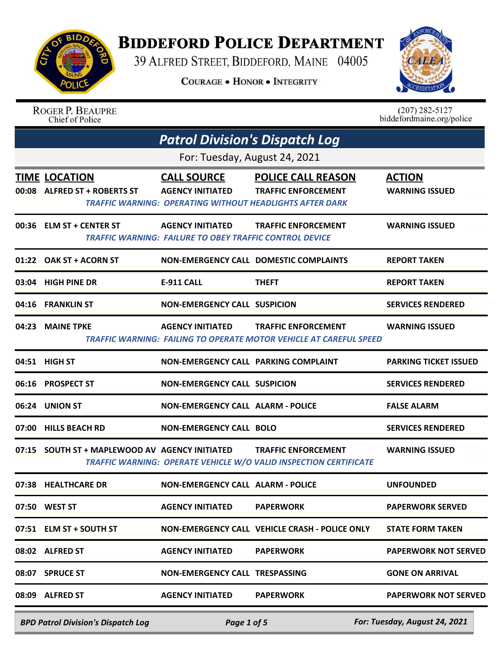

## **BIDDEFORD POLICE DEPARTMENT**

39 ALFRED STREET, BIDDEFORD, MAINE 04005

**COURAGE . HONOR . INTEGRITY** 



|       | <b>ROGER P. BEAUPRE</b><br>Chief of Police           |                                                                                           |                                                                                                                            | $(207)$ 282-5127<br>biddefordmaine.org/police |
|-------|------------------------------------------------------|-------------------------------------------------------------------------------------------|----------------------------------------------------------------------------------------------------------------------------|-----------------------------------------------|
|       |                                                      | <b>Patrol Division's Dispatch Log</b>                                                     |                                                                                                                            |                                               |
|       |                                                      | For: Tuesday, August 24, 2021                                                             |                                                                                                                            |                                               |
|       | <b>TIME LOCATION</b><br>00:08 ALFRED ST + ROBERTS ST | <b>CALL SOURCE</b><br><b>AGENCY INITIATED</b>                                             | <b>POLICE CALL REASON</b><br><b>TRAFFIC ENFORCEMENT</b><br><b>TRAFFIC WARNING: OPERATING WITHOUT HEADLIGHTS AFTER DARK</b> | <b>ACTION</b><br><b>WARNING ISSUED</b>        |
|       | 00:36 ELM ST + CENTER ST                             | <b>AGENCY INITIATED</b><br><b>TRAFFIC WARNING: FAILURE TO OBEY TRAFFIC CONTROL DEVICE</b> | <b>TRAFFIC ENFORCEMENT</b>                                                                                                 | <b>WARNING ISSUED</b>                         |
|       | 01:22 OAK ST + ACORN ST                              |                                                                                           | <b>NON-EMERGENCY CALL DOMESTIC COMPLAINTS</b>                                                                              | <b>REPORT TAKEN</b>                           |
|       | 03:04 HIGH PINE DR                                   | <b>E-911 CALL</b>                                                                         | <b>THEFT</b>                                                                                                               | <b>REPORT TAKEN</b>                           |
|       | 04:16 FRANKLIN ST                                    | <b>NON-EMERGENCY CALL SUSPICION</b>                                                       |                                                                                                                            | <b>SERVICES RENDERED</b>                      |
|       | 04:23 MAINE TPKE                                     | <b>AGENCY INITIATED</b>                                                                   | <b>TRAFFIC ENFORCEMENT</b><br><b>TRAFFIC WARNING: FAILING TO OPERATE MOTOR VEHICLE AT CAREFUL SPEED</b>                    | <b>WARNING ISSUED</b>                         |
|       | 04:51 HIGH ST                                        | NON-EMERGENCY CALL PARKING COMPLAINT                                                      |                                                                                                                            | <b>PARKING TICKET ISSUED</b>                  |
|       | 06:16 PROSPECT ST                                    | <b>NON-EMERGENCY CALL SUSPICION</b>                                                       |                                                                                                                            | <b>SERVICES RENDERED</b>                      |
| 06:24 | <b>UNION ST</b>                                      | <b>NON-EMERGENCY CALL ALARM - POLICE</b>                                                  |                                                                                                                            | <b>FALSE ALARM</b>                            |
| 07:00 | <b>HILLS BEACH RD</b>                                | <b>NON-EMERGENCY CALL BOLO</b>                                                            |                                                                                                                            | <b>SERVICES RENDERED</b>                      |
|       | 07:15 SOUTH ST + MAPLEWOOD AV AGENCY INITIATED       |                                                                                           | <b>TRAFFIC ENFORCEMENT</b><br><b>TRAFFIC WARNING: OPERATE VEHICLE W/O VALID INSPECTION CERTIFICATE</b>                     | <b>WARNING ISSUED</b>                         |
|       | 07:38 HEALTHCARE DR                                  | <b>NON-EMERGENCY CALL ALARM - POLICE</b>                                                  |                                                                                                                            | <b>UNFOUNDED</b>                              |
|       | 07:50 WEST ST                                        | <b>AGENCY INITIATED</b>                                                                   | <b>PAPERWORK</b>                                                                                                           | <b>PAPERWORK SERVED</b>                       |
|       | 07:51 ELM ST + SOUTH ST                              |                                                                                           | NON-EMERGENCY CALL VEHICLE CRASH - POLICE ONLY                                                                             | <b>STATE FORM TAKEN</b>                       |
|       | 08:02 ALFRED ST                                      | AGENCY INITIATED                                                                          | <b>PAPERWORK</b>                                                                                                           | <b>PAPERWORK NOT SERVED</b>                   |
|       | 08:07 SPRUCE ST                                      | NON-EMERGENCY CALL TRESPASSING                                                            |                                                                                                                            | <b>GONE ON ARRIVAL</b>                        |
|       | 08:09 ALFRED ST                                      | <b>AGENCY INITIATED</b>                                                                   | <b>PAPERWORK</b>                                                                                                           | <b>PAPERWORK NOT SERVED</b>                   |
|       |                                                      |                                                                                           |                                                                                                                            |                                               |

*BPD Patrol Division's Dispatch Log Page 1 of 5 For: Tuesday, August 24, 2021*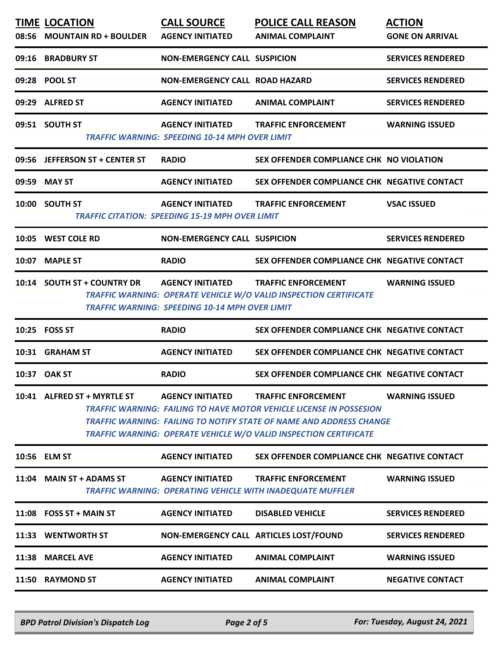| 08:56 | <b>TIME LOCATION</b><br><b>MOUNTAIN RD + BOULDER</b> | <b>CALL SOURCE</b><br><b>AGENCY INITIATED</b>                                     | <b>POLICE CALL REASON</b><br><b>ANIMAL COMPLAINT</b>                                                                                                                                                                                           | <b>ACTION</b><br><b>GONE ON ARRIVAL</b> |
|-------|------------------------------------------------------|-----------------------------------------------------------------------------------|------------------------------------------------------------------------------------------------------------------------------------------------------------------------------------------------------------------------------------------------|-----------------------------------------|
|       | 09:16 BRADBURY ST                                    | <b>NON-EMERGENCY CALL SUSPICION</b>                                               |                                                                                                                                                                                                                                                | <b>SERVICES RENDERED</b>                |
|       | 09:28 POOL ST                                        | NON-EMERGENCY CALL ROAD HAZARD                                                    |                                                                                                                                                                                                                                                | <b>SERVICES RENDERED</b>                |
|       | 09:29 ALFRED ST                                      | <b>AGENCY INITIATED</b>                                                           | <b>ANIMAL COMPLAINT</b>                                                                                                                                                                                                                        | <b>SERVICES RENDERED</b>                |
|       | 09:51 SOUTH ST                                       | <b>AGENCY INITIATED</b><br><b>TRAFFIC WARNING: SPEEDING 10-14 MPH OVER LIMIT</b>  | <b>TRAFFIC ENFORCEMENT</b>                                                                                                                                                                                                                     | <b>WARNING ISSUED</b>                   |
|       | 09:56 JEFFERSON ST + CENTER ST                       | <b>RADIO</b>                                                                      | SEX OFFENDER COMPLIANCE CHK NO VIOLATION                                                                                                                                                                                                       |                                         |
| 09:59 | <b>MAY ST</b>                                        | <b>AGENCY INITIATED</b>                                                           | SEX OFFENDER COMPLIANCE CHK NEGATIVE CONTACT                                                                                                                                                                                                   |                                         |
|       | 10:00 SOUTH ST                                       | <b>AGENCY INITIATED</b><br><b>TRAFFIC CITATION: SPEEDING 15-19 MPH OVER LIMIT</b> | <b>TRAFFIC ENFORCEMENT</b>                                                                                                                                                                                                                     | <b>VSAC ISSUED</b>                      |
|       | 10:05 WEST COLE RD                                   | <b>NON-EMERGENCY CALL SUSPICION</b>                                               |                                                                                                                                                                                                                                                | <b>SERVICES RENDERED</b>                |
| 10:07 | <b>MAPLE ST</b>                                      | <b>RADIO</b>                                                                      | SEX OFFENDER COMPLIANCE CHK NEGATIVE CONTACT                                                                                                                                                                                                   |                                         |
|       | 10:14 SOUTH ST + COUNTRY DR                          | <b>AGENCY INITIATED</b><br><b>TRAFFIC WARNING: SPEEDING 10-14 MPH OVER LIMIT</b>  | <b>TRAFFIC ENFORCEMENT</b><br>TRAFFIC WARNING: OPERATE VEHICLE W/O VALID INSPECTION CERTIFICATE                                                                                                                                                | <b>WARNING ISSUED</b>                   |
|       | 10:25 FOSS ST                                        | <b>RADIO</b>                                                                      | SEX OFFENDER COMPLIANCE CHK NEGATIVE CONTACT                                                                                                                                                                                                   |                                         |
|       | 10:31 GRAHAM ST                                      | <b>AGENCY INITIATED</b>                                                           | SEX OFFENDER COMPLIANCE CHK NEGATIVE CONTACT                                                                                                                                                                                                   |                                         |
|       | 10:37 OAK ST                                         | <b>RADIO</b>                                                                      | SEX OFFENDER COMPLIANCE CHK NEGATIVE CONTACT                                                                                                                                                                                                   |                                         |
|       | 10:41 ALFRED ST + MYRTLE ST                          | <b>AGENCY INITIATED</b>                                                           | <b>TRAFFIC ENFORCEMENT</b><br>TRAFFIC WARNING:  FAILING TO HAVE MOTOR VEHICLE LICENSE IN POSSESION<br>TRAFFIC WARNING: FAILING TO NOTIFY STATE OF NAME AND ADDRESS CHANGE<br>TRAFFIC WARNING: OPERATE VEHICLE W/O VALID INSPECTION CERTIFICATE | <b>WARNING ISSUED</b>                   |
|       | 10:56 ELM ST                                         | <b>AGENCY INITIATED</b>                                                           | SEX OFFENDER COMPLIANCE CHK NEGATIVE CONTACT                                                                                                                                                                                                   |                                         |
|       | 11:04 MAIN ST + ADAMS ST                             | <b>AGENCY INITIATED</b>                                                           | <b>TRAFFIC ENFORCEMENT</b><br>TRAFFIC WARNING: OPERATING VEHICLE WITH INADEQUATE MUFFLER                                                                                                                                                       | <b>WARNING ISSUED</b>                   |
|       | $11:08$ FOSS ST + MAIN ST                            | <b>AGENCY INITIATED</b>                                                           | <b>DISABLED VEHICLE</b>                                                                                                                                                                                                                        | <b>SERVICES RENDERED</b>                |
|       | 11:33 WENTWORTH ST                                   | NON-EMERGENCY CALL ARTICLES LOST/FOUND                                            |                                                                                                                                                                                                                                                | <b>SERVICES RENDERED</b>                |
| 11:38 | <b>MARCEL AVE</b>                                    | <b>AGENCY INITIATED</b>                                                           | <b>ANIMAL COMPLAINT</b>                                                                                                                                                                                                                        | <b>WARNING ISSUED</b>                   |
|       | 11:50 RAYMOND ST                                     | <b>AGENCY INITIATED</b>                                                           | <b>ANIMAL COMPLAINT</b>                                                                                                                                                                                                                        | <b>NEGATIVE CONTACT</b>                 |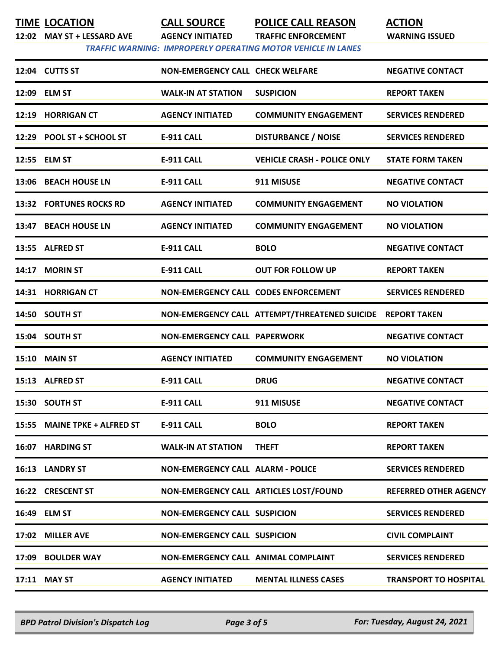**TIME LOCATION CALL SOURCE POLICE CALL REASON ACTION**

**12:02 MAY ST + LESSARD AVE AGENCY INITIATED TRAFFIC ENFORCEMENT WARNING ISSUED**

 *TRAFFIC WARNING: IMPROPERLY OPERATING MOTOR VEHICLE IN LANES* 

| 17:02 MILLER AVE               | <b>NON-EMERGENCY CALL SUSPICION</b>      |                                                            | <b>CIVIL COMPLAINT</b>       |
|--------------------------------|------------------------------------------|------------------------------------------------------------|------------------------------|
| 16:49 ELM ST                   | <b>NON-EMERGENCY CALL SUSPICION</b>      |                                                            | <b>SERVICES RENDERED</b>     |
| 16:22 CRESCENT ST              |                                          | NON-EMERGENCY CALL ARTICLES LOST/FOUND                     | <b>REFERRED OTHER AGENCY</b> |
| 16:13 LANDRY ST                | <b>NON-EMERGENCY CALL ALARM - POLICE</b> |                                                            | <b>SERVICES RENDERED</b>     |
| 16:07 HARDING ST               | <b>WALK-IN AT STATION</b>                | <b>THEFT</b>                                               | <b>REPORT TAKEN</b>          |
| 15:55 MAINE TPKE + ALFRED ST   | <b>E-911 CALL</b>                        | <b>BOLO</b>                                                | <b>REPORT TAKEN</b>          |
| 15:30 SOUTH ST                 | <b>E-911 CALL</b>                        | 911 MISUSE                                                 | <b>NEGATIVE CONTACT</b>      |
| 15:13 ALFRED ST                | <b>E-911 CALL</b>                        | <b>DRUG</b>                                                | <b>NEGATIVE CONTACT</b>      |
| <b>15:10 MAIN ST</b>           | <b>AGENCY INITIATED</b>                  | <b>COMMUNITY ENGAGEMENT</b>                                | <b>NO VIOLATION</b>          |
| 15:04 SOUTH ST                 | <b>NON-EMERGENCY CALL PAPERWORK</b>      |                                                            | <b>NEGATIVE CONTACT</b>      |
| 14:50 SOUTH ST                 |                                          | NON-EMERGENCY CALL ATTEMPT/THREATENED SUICIDE REPORT TAKEN |                              |
| 14:31 HORRIGAN CT              | NON-EMERGENCY CALL CODES ENFORCEMENT     |                                                            | <b>SERVICES RENDERED</b>     |
| 14:17 MORIN ST                 | E-911 CALL                               | <b>OUT FOR FOLLOW UP</b>                                   | <b>REPORT TAKEN</b>          |
| 13:55 ALFRED ST                | <b>E-911 CALL</b>                        | <b>BOLO</b>                                                | <b>NEGATIVE CONTACT</b>      |
| 13:47 BEACH HOUSE LN           | <b>AGENCY INITIATED</b>                  | <b>COMMUNITY ENGAGEMENT</b>                                | <b>NO VIOLATION</b>          |
| <b>13:32 FORTUNES ROCKS RD</b> | <b>AGENCY INITIATED</b>                  | <b>COMMUNITY ENGAGEMENT</b>                                | <b>NO VIOLATION</b>          |
| 13:06 BEACH HOUSE LN           | <b>E-911 CALL</b>                        | 911 MISUSE                                                 | <b>NEGATIVE CONTACT</b>      |
| 12:55 ELM ST                   | <b>E-911 CALL</b>                        | <b>VEHICLE CRASH - POLICE ONLY</b>                         | <b>STATE FORM TAKEN</b>      |
| 12:29 POOL ST + SCHOOL ST      | <b>E-911 CALL</b>                        | <b>DISTURBANCE / NOISE</b>                                 | <b>SERVICES RENDERED</b>     |
| 12:19 HORRIGAN CT              | <b>AGENCY INITIATED</b>                  | <b>COMMUNITY ENGAGEMENT</b>                                | <b>SERVICES RENDERED</b>     |
| 12:09 ELM ST                   | <b>WALK-IN AT STATION</b>                | <b>SUSPICION</b>                                           | <b>REPORT TAKEN</b>          |
| 12:04 CUTTS ST                 | <b>NON-EMERGENCY CALL CHECK WELFARE</b>  |                                                            | <b>NEGATIVE CONTACT</b>      |

*BPD Patrol Division's Dispatch Log Page 3 of 5 For: Tuesday, August 24, 2021*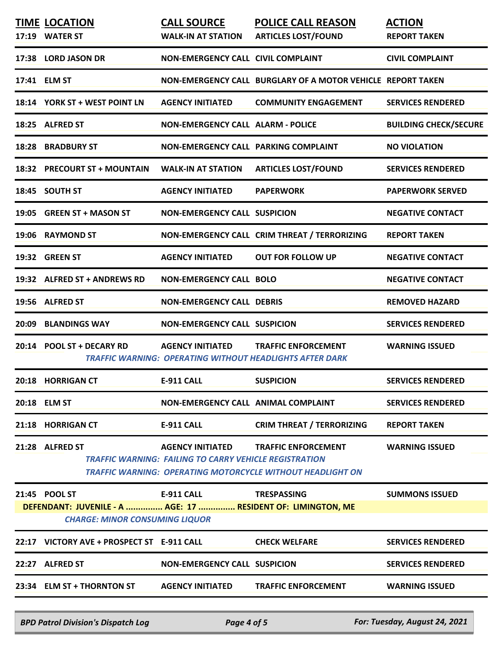| <b>TIME LOCATION</b><br>17:19 WATER ST                                                                                 | <b>CALL SOURCE</b><br><b>WALK-IN AT STATION</b>                                          | <b>POLICE CALL REASON</b><br><b>ARTICLES LOST/FOUND</b>                                       | <b>ACTION</b><br><b>REPORT TAKEN</b> |
|------------------------------------------------------------------------------------------------------------------------|------------------------------------------------------------------------------------------|-----------------------------------------------------------------------------------------------|--------------------------------------|
| 17:38 LORD JASON DR                                                                                                    | NON-EMERGENCY CALL CIVIL COMPLAINT                                                       |                                                                                               | <b>CIVIL COMPLAINT</b>               |
| 17:41 ELM ST                                                                                                           |                                                                                          | NON-EMERGENCY CALL BURGLARY OF A MOTOR VEHICLE REPORT TAKEN                                   |                                      |
| 18:14 YORK ST + WEST POINT LN                                                                                          | <b>AGENCY INITIATED</b>                                                                  | <b>COMMUNITY ENGAGEMENT</b>                                                                   | <b>SERVICES RENDERED</b>             |
| 18:25 ALFRED ST                                                                                                        | <b>NON-EMERGENCY CALL ALARM - POLICE</b>                                                 |                                                                                               | <b>BUILDING CHECK/SECURE</b>         |
| <b>18:28 BRADBURY ST</b>                                                                                               | NON-EMERGENCY CALL PARKING COMPLAINT                                                     |                                                                                               | <b>NO VIOLATION</b>                  |
| 18:32 PRECOURT ST + MOUNTAIN                                                                                           | <b>WALK-IN AT STATION</b>                                                                | <b>ARTICLES LOST/FOUND</b>                                                                    | <b>SERVICES RENDERED</b>             |
| 18:45 SOUTH ST                                                                                                         | <b>AGENCY INITIATED</b>                                                                  | <b>PAPERWORK</b>                                                                              | <b>PAPERWORK SERVED</b>              |
| 19:05 GREEN ST + MASON ST                                                                                              | <b>NON-EMERGENCY CALL SUSPICION</b>                                                      |                                                                                               | <b>NEGATIVE CONTACT</b>              |
| 19:06 RAYMOND ST                                                                                                       |                                                                                          | NON-EMERGENCY CALL CRIM THREAT / TERRORIZING                                                  | <b>REPORT TAKEN</b>                  |
| 19:32 GREEN ST                                                                                                         | <b>AGENCY INITIATED</b>                                                                  | <b>OUT FOR FOLLOW UP</b>                                                                      | <b>NEGATIVE CONTACT</b>              |
| 19:32 ALFRED ST + ANDREWS RD                                                                                           | <b>NON-EMERGENCY CALL BOLO</b>                                                           |                                                                                               | <b>NEGATIVE CONTACT</b>              |
| 19:56 ALFRED ST                                                                                                        | <b>NON-EMERGENCY CALL DEBRIS</b>                                                         |                                                                                               | <b>REMOVED HAZARD</b>                |
| 20:09 BLANDINGS WAY                                                                                                    | <b>NON-EMERGENCY CALL SUSPICION</b>                                                      |                                                                                               | <b>SERVICES RENDERED</b>             |
| 20:14 POOL ST + DECARY RD                                                                                              | <b>AGENCY INITIATED</b>                                                                  | <b>TRAFFIC ENFORCEMENT</b><br><b>TRAFFIC WARNING: OPERATING WITHOUT HEADLIGHTS AFTER DARK</b> | <b>WARNING ISSUED</b>                |
| <b>20:18 HORRIGAN CT</b>                                                                                               | <b>E-911 CALL</b>                                                                        | <b>SUSPICION</b>                                                                              | <b>SERVICES RENDERED</b>             |
| 20:18 ELM ST                                                                                                           | NON-EMERGENCY CALL ANIMAL COMPLAINT                                                      |                                                                                               | <b>SERVICES RENDERED</b>             |
| 21:18 HORRIGAN CT                                                                                                      | <b>E-911 CALL</b>                                                                        | <b>CRIM THREAT / TERRORIZING</b>                                                              | <b>REPORT TAKEN</b>                  |
| 21:28 ALFRED ST                                                                                                        | <b>AGENCY INITIATED</b><br><b>TRAFFIC WARNING: FAILING TO CARRY VEHICLE REGISTRATION</b> | <b>TRAFFIC ENFORCEMENT</b><br>TRAFFIC WARNING: OPERATING MOTORCYCLE WITHOUT HEADLIGHT ON      | <b>WARNING ISSUED</b>                |
| 21:45 POOL ST<br>DEFENDANT: JUVENILE - A  AGE: 17  RESIDENT OF: LIMINGTON, ME<br><b>CHARGE: MINOR CONSUMING LIQUOR</b> | E-911 CALL <b>E-911</b>                                                                  | <b>TRESPASSING</b>                                                                            | <b>SUMMONS ISSUED</b>                |
| 22:17 VICTORY AVE + PROSPECT ST E-911 CALL                                                                             |                                                                                          | <b>CHECK WELFARE</b>                                                                          | <b>SERVICES RENDERED</b>             |
| 22:27 ALFRED ST                                                                                                        | <b>NON-EMERGENCY CALL SUSPICION</b>                                                      |                                                                                               | <b>SERVICES RENDERED</b>             |
| 23:34 ELM ST + THORNTON ST AGENCY INITIATED                                                                            |                                                                                          | <b>TRAFFIC ENFORCEMENT</b>                                                                    | <b>WARNING ISSUED</b>                |
| <b>BPD Patrol Division's Dispatch Log</b>                                                                              | Page 4 of 5                                                                              |                                                                                               | For: Tuesday, August 24, 2021        |